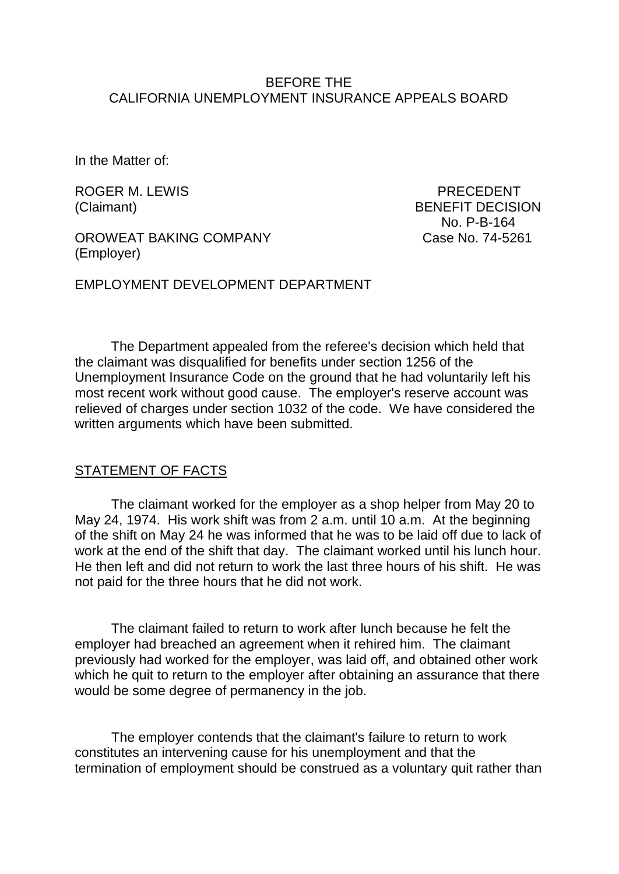### BEFORE THE CALIFORNIA UNEMPLOYMENT INSURANCE APPEALS BOARD

In the Matter of:

ROGER M. LEWIS **EXAMPLE 20 INCREASE ASSESSED** PRECEDENT

OROWEAT BAKING COMPANY CASE No. 74-5261 (Employer)

(Claimant) BENEFIT DECISION No. P-B-164

EMPLOYMENT DEVELOPMENT DEPARTMENT

The Department appealed from the referee's decision which held that the claimant was disqualified for benefits under section 1256 of the Unemployment Insurance Code on the ground that he had voluntarily left his most recent work without good cause. The employer's reserve account was relieved of charges under section 1032 of the code. We have considered the written arguments which have been submitted.

#### STATEMENT OF FACTS

The claimant worked for the employer as a shop helper from May 20 to May 24, 1974. His work shift was from 2 a.m. until 10 a.m. At the beginning of the shift on May 24 he was informed that he was to be laid off due to lack of work at the end of the shift that day. The claimant worked until his lunch hour. He then left and did not return to work the last three hours of his shift. He was not paid for the three hours that he did not work.

The claimant failed to return to work after lunch because he felt the employer had breached an agreement when it rehired him. The claimant previously had worked for the employer, was laid off, and obtained other work which he quit to return to the employer after obtaining an assurance that there would be some degree of permanency in the job.

The employer contends that the claimant's failure to return to work constitutes an intervening cause for his unemployment and that the termination of employment should be construed as a voluntary quit rather than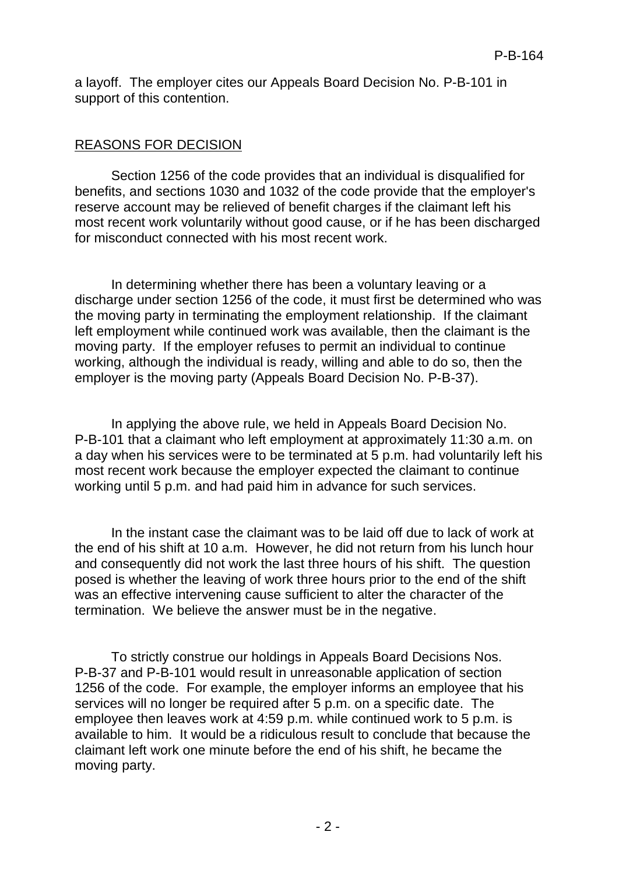a layoff. The employer cites our Appeals Board Decision No. P-B-101 in support of this contention.

# REASONS FOR DECISION

Section 1256 of the code provides that an individual is disqualified for benefits, and sections 1030 and 1032 of the code provide that the employer's reserve account may be relieved of benefit charges if the claimant left his most recent work voluntarily without good cause, or if he has been discharged for misconduct connected with his most recent work.

In determining whether there has been a voluntary leaving or a discharge under section 1256 of the code, it must first be determined who was the moving party in terminating the employment relationship. If the claimant left employment while continued work was available, then the claimant is the moving party. If the employer refuses to permit an individual to continue working, although the individual is ready, willing and able to do so, then the employer is the moving party (Appeals Board Decision No. P-B-37).

In applying the above rule, we held in Appeals Board Decision No. P-B-101 that a claimant who left employment at approximately 11:30 a.m. on a day when his services were to be terminated at 5 p.m. had voluntarily left his most recent work because the employer expected the claimant to continue working until 5 p.m. and had paid him in advance for such services.

In the instant case the claimant was to be laid off due to lack of work at the end of his shift at 10 a.m. However, he did not return from his lunch hour and consequently did not work the last three hours of his shift. The question posed is whether the leaving of work three hours prior to the end of the shift was an effective intervening cause sufficient to alter the character of the termination. We believe the answer must be in the negative.

To strictly construe our holdings in Appeals Board Decisions Nos. P-B-37 and P-B-101 would result in unreasonable application of section 1256 of the code. For example, the employer informs an employee that his services will no longer be required after 5 p.m. on a specific date. The employee then leaves work at 4:59 p.m. while continued work to 5 p.m. is available to him. It would be a ridiculous result to conclude that because the claimant left work one minute before the end of his shift, he became the moving party.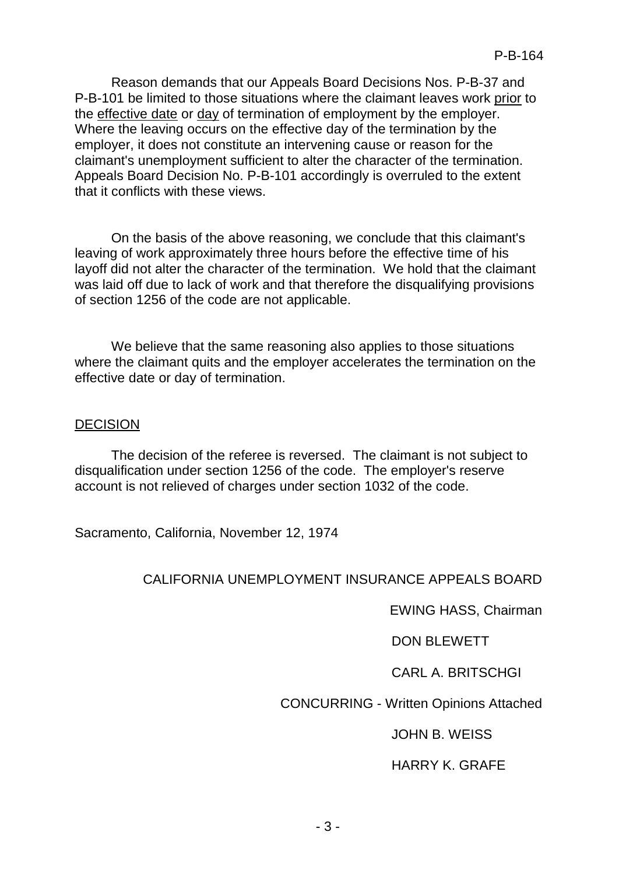Reason demands that our Appeals Board Decisions Nos. P-B-37 and P-B-101 be limited to those situations where the claimant leaves work prior to the effective date or day of termination of employment by the employer. Where the leaving occurs on the effective day of the termination by the employer, it does not constitute an intervening cause or reason for the claimant's unemployment sufficient to alter the character of the termination. Appeals Board Decision No. P-B-101 accordingly is overruled to the extent that it conflicts with these views.

On the basis of the above reasoning, we conclude that this claimant's leaving of work approximately three hours before the effective time of his layoff did not alter the character of the termination. We hold that the claimant was laid off due to lack of work and that therefore the disqualifying provisions of section 1256 of the code are not applicable.

We believe that the same reasoning also applies to those situations where the claimant quits and the employer accelerates the termination on the effective date or day of termination.

### DECISION

The decision of the referee is reversed. The claimant is not subject to disqualification under section 1256 of the code. The employer's reserve account is not relieved of charges under section 1032 of the code.

Sacramento, California, November 12, 1974

## CALIFORNIA UNEMPLOYMENT INSURANCE APPEALS BOARD

EWING HASS, Chairman

DON BLEWETT

CARL A. BRITSCHGI

CONCURRING - Written Opinions Attached

JOHN B. WEISS

HARRY K. GRAFE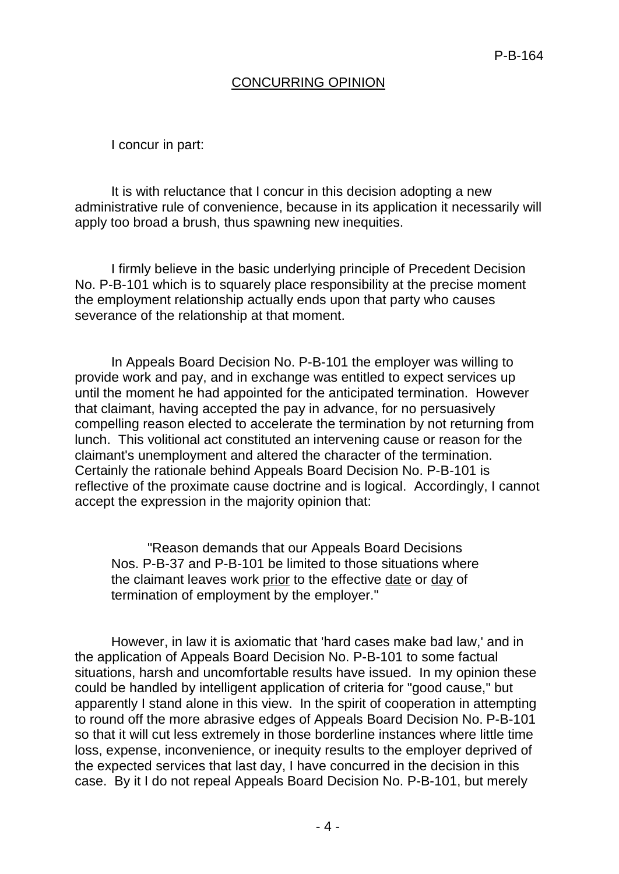# CONCURRING OPINION

I concur in part:

It is with reluctance that I concur in this decision adopting a new administrative rule of convenience, because in its application it necessarily will apply too broad a brush, thus spawning new inequities.

I firmly believe in the basic underlying principle of Precedent Decision No. P-B-101 which is to squarely place responsibility at the precise moment the employment relationship actually ends upon that party who causes severance of the relationship at that moment.

In Appeals Board Decision No. P-B-101 the employer was willing to provide work and pay, and in exchange was entitled to expect services up until the moment he had appointed for the anticipated termination. However that claimant, having accepted the pay in advance, for no persuasively compelling reason elected to accelerate the termination by not returning from lunch. This volitional act constituted an intervening cause or reason for the claimant's unemployment and altered the character of the termination. Certainly the rationale behind Appeals Board Decision No. P-B-101 is reflective of the proximate cause doctrine and is logical. Accordingly, I cannot accept the expression in the majority opinion that:

"Reason demands that our Appeals Board Decisions Nos. P-B-37 and P-B-101 be limited to those situations where the claimant leaves work prior to the effective date or day of termination of employment by the employer."

However, in law it is axiomatic that 'hard cases make bad law,' and in the application of Appeals Board Decision No. P-B-101 to some factual situations, harsh and uncomfortable results have issued. In my opinion these could be handled by intelligent application of criteria for "good cause," but apparently I stand alone in this view. In the spirit of cooperation in attempting to round off the more abrasive edges of Appeals Board Decision No. P-B-101 so that it will cut less extremely in those borderline instances where little time loss, expense, inconvenience, or inequity results to the employer deprived of the expected services that last day, I have concurred in the decision in this case. By it I do not repeal Appeals Board Decision No. P-B-101, but merely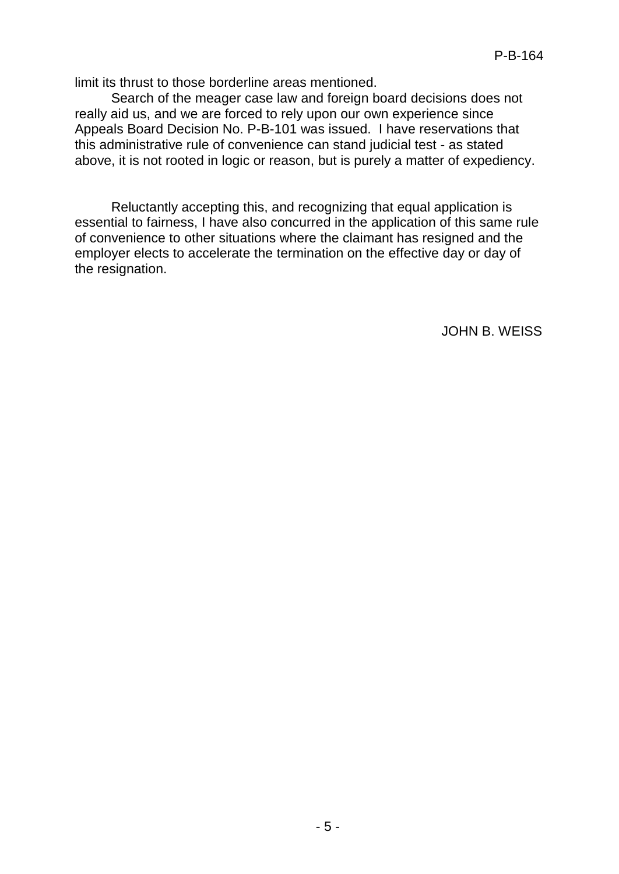limit its thrust to those borderline areas mentioned.

Search of the meager case law and foreign board decisions does not really aid us, and we are forced to rely upon our own experience since Appeals Board Decision No. P-B-101 was issued. I have reservations that this administrative rule of convenience can stand judicial test - as stated above, it is not rooted in logic or reason, but is purely a matter of expediency.

Reluctantly accepting this, and recognizing that equal application is essential to fairness, I have also concurred in the application of this same rule of convenience to other situations where the claimant has resigned and the employer elects to accelerate the termination on the effective day or day of the resignation.

JOHN B. WEISS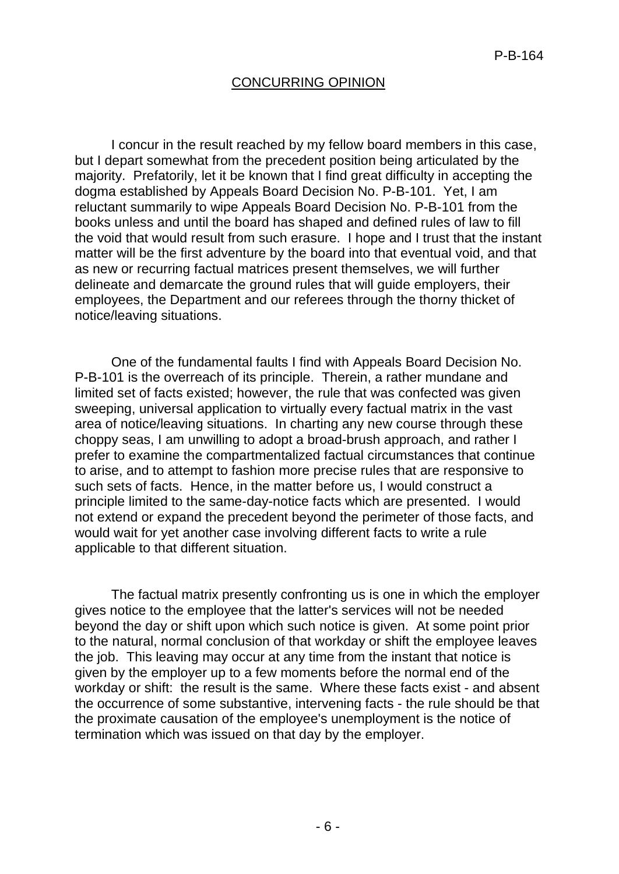#### CONCURRING OPINION

I concur in the result reached by my fellow board members in this case, but I depart somewhat from the precedent position being articulated by the majority. Prefatorily, let it be known that I find great difficulty in accepting the dogma established by Appeals Board Decision No. P-B-101. Yet, I am reluctant summarily to wipe Appeals Board Decision No. P-B-101 from the books unless and until the board has shaped and defined rules of law to fill the void that would result from such erasure. I hope and I trust that the instant matter will be the first adventure by the board into that eventual void, and that as new or recurring factual matrices present themselves, we will further delineate and demarcate the ground rules that will guide employers, their employees, the Department and our referees through the thorny thicket of notice/leaving situations.

One of the fundamental faults I find with Appeals Board Decision No. P-B-101 is the overreach of its principle. Therein, a rather mundane and limited set of facts existed; however, the rule that was confected was given sweeping, universal application to virtually every factual matrix in the vast area of notice/leaving situations. In charting any new course through these choppy seas, I am unwilling to adopt a broad-brush approach, and rather I prefer to examine the compartmentalized factual circumstances that continue to arise, and to attempt to fashion more precise rules that are responsive to such sets of facts. Hence, in the matter before us, I would construct a principle limited to the same-day-notice facts which are presented. I would not extend or expand the precedent beyond the perimeter of those facts, and would wait for yet another case involving different facts to write a rule applicable to that different situation.

The factual matrix presently confronting us is one in which the employer gives notice to the employee that the latter's services will not be needed beyond the day or shift upon which such notice is given. At some point prior to the natural, normal conclusion of that workday or shift the employee leaves the job. This leaving may occur at any time from the instant that notice is given by the employer up to a few moments before the normal end of the workday or shift: the result is the same. Where these facts exist - and absent the occurrence of some substantive, intervening facts - the rule should be that the proximate causation of the employee's unemployment is the notice of termination which was issued on that day by the employer.